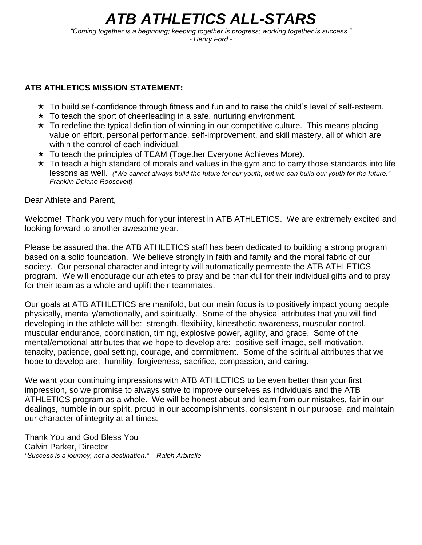# *ATB ATHLETICS ALL-STARS*

*"Coming together is a beginning; keeping together is progress; working together is success." - Henry Ford -*

### **ATB ATHLETICS MISSION STATEMENT:**

- $\star$  To build self-confidence through fitness and fun and to raise the child's level of self-esteem.
- $\star$  To teach the sport of cheerleading in a safe, nurturing environment.
- $\star$  To redefine the typical definition of winning in our competitive culture. This means placing value on effort, personal performance, self-improvement, and skill mastery, all of which are within the control of each individual.
- ★ To teach the principles of TEAM (Together Everyone Achieves More).
- $\star$  To teach a high standard of morals and values in the gym and to carry those standards into life lessons as well. *("We cannot always build the future for our youth, but we can build our youth for the future." – Franklin Delano Roosevelt)*

Dear Athlete and Parent,

Welcome! Thank you very much for your interest in ATB ATHLETICS. We are extremely excited and looking forward to another awesome year.

Please be assured that the ATB ATHLETICS staff has been dedicated to building a strong program based on a solid foundation. We believe strongly in faith and family and the moral fabric of our society. Our personal character and integrity will automatically permeate the ATB ATHLETICS program. We will encourage our athletes to pray and be thankful for their individual gifts and to pray for their team as a whole and uplift their teammates.

Our goals at ATB ATHLETICS are manifold, but our main focus is to positively impact young people physically, mentally/emotionally, and spiritually. Some of the physical attributes that you will find developing in the athlete will be: strength, flexibility, kinesthetic awareness, muscular control, muscular endurance, coordination, timing, explosive power, agility, and grace. Some of the mental/emotional attributes that we hope to develop are: positive self-image, self-motivation, tenacity, patience, goal setting, courage, and commitment. Some of the spiritual attributes that we hope to develop are: humility, forgiveness, sacrifice, compassion, and caring.

We want your continuing impressions with ATB ATHLETICS to be even better than your first impression, so we promise to always strive to improve ourselves as individuals and the ATB ATHLETICS program as a whole. We will be honest about and learn from our mistakes, fair in our dealings, humble in our spirit, proud in our accomplishments, consistent in our purpose, and maintain our character of integrity at all times.

Thank You and God Bless You Calvin Parker, Director *"Success is a journey, not a destination." – Ralph Arbitelle –*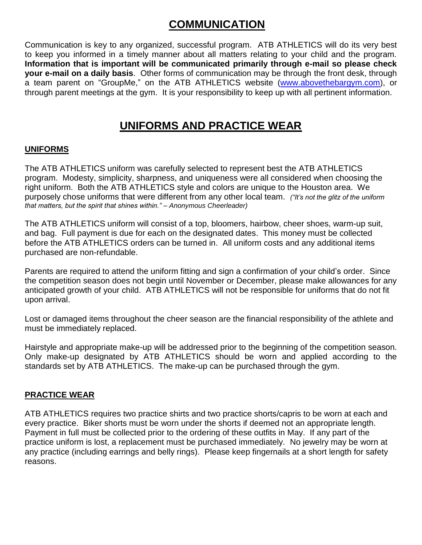# **COMMUNICATION**

Communication is key to any organized, successful program. ATB ATHLETICS will do its very best to keep you informed in a timely manner about all matters relating to your child and the program. **Information that is important will be communicated primarily through e-mail so please check your e-mail on a daily basis**. Other forms of communication may be through the front desk, through a team parent on "GroupMe," on the ATB ATHLETICS website [\(www.abovethebargym.com\)](http://www.usaathletics.club/), or through parent meetings at the gym. It is your responsibility to keep up with all pertinent information.

# **UNIFORMS AND PRACTICE WEAR**

#### **UNIFORMS**

The ATB ATHLETICS uniform was carefully selected to represent best the ATB ATHLETICS program. Modesty, simplicity, sharpness, and uniqueness were all considered when choosing the right uniform. Both the ATB ATHLETICS style and colors are unique to the Houston area. We purposely chose uniforms that were different from any other local team. *("It's not the glitz of the uniform that matters, but the spirit that shines within." – Anonymous Cheerleader)*

The ATB ATHLETICS uniform will consist of a top, bloomers, hairbow, cheer shoes, warm-up suit, and bag. Full payment is due for each on the designated dates. This money must be collected before the ATB ATHLETICS orders can be turned in. All uniform costs and any additional items purchased are non-refundable.

Parents are required to attend the uniform fitting and sign a confirmation of your child's order. Since the competition season does not begin until November or December, please make allowances for any anticipated growth of your child. ATB ATHLETICS will not be responsible for uniforms that do not fit upon arrival.

Lost or damaged items throughout the cheer season are the financial responsibility of the athlete and must be immediately replaced.

Hairstyle and appropriate make-up will be addressed prior to the beginning of the competition season. Only make-up designated by ATB ATHLETICS should be worn and applied according to the standards set by ATB ATHLETICS. The make-up can be purchased through the gym.

#### **PRACTICE WEAR**

ATB ATHLETICS requires two practice shirts and two practice shorts/capris to be worn at each and every practice. Biker shorts must be worn under the shorts if deemed not an appropriate length. Payment in full must be collected prior to the ordering of these outfits in May. If any part of the practice uniform is lost, a replacement must be purchased immediately. No jewelry may be worn at any practice (including earrings and belly rings). Please keep fingernails at a short length for safety reasons.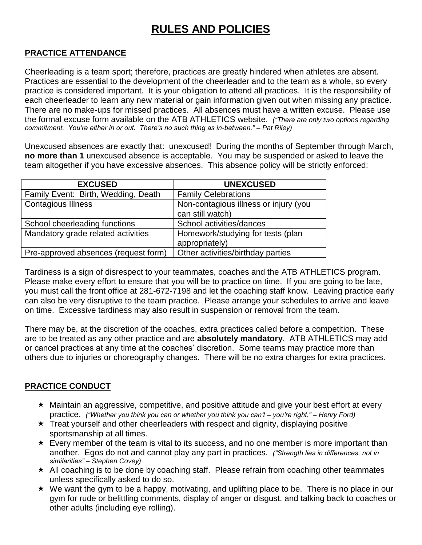# **RULES AND POLICIES**

#### **PRACTICE ATTENDANCE**

Cheerleading is a team sport; therefore, practices are greatly hindered when athletes are absent. Practices are essential to the development of the cheerleader and to the team as a whole, so every practice is considered important. It is your obligation to attend all practices. It is the responsibility of each cheerleader to learn any new material or gain information given out when missing any practice. There are no make-ups for missed practices. All absences must have a written excuse. Please use the formal excuse form available on the ATB ATHLETICS website. *("There are only two options regarding commitment. You're either in or out. There's no such thing as in-between." – Pat Riley)*

Unexcused absences are exactly that: unexcused! During the months of September through March, **no more than 1** unexcused absence is acceptable. You may be suspended or asked to leave the team altogether if you have excessive absences. This absence policy will be strictly enforced:

| <b>EXCUSED</b>                       | <b>UNEXCUSED</b>                      |
|--------------------------------------|---------------------------------------|
| Family Event: Birth, Wedding, Death  | <b>Family Celebrations</b>            |
| <b>Contagious Illness</b>            | Non-contagious illness or injury (you |
|                                      | can still watch)                      |
| School cheerleading functions        | School activities/dances              |
| Mandatory grade related activities   | Homework/studying for tests (plan     |
|                                      | appropriately)                        |
| Pre-approved absences (request form) | Other activities/birthday parties     |

Tardiness is a sign of disrespect to your teammates, coaches and the ATB ATHLETICS program. Please make every effort to ensure that you will be to practice on time. If you are going to be late, you must call the front office at 281-672-7198 and let the coaching staff know. Leaving practice early can also be very disruptive to the team practice. Please arrange your schedules to arrive and leave on time. Excessive tardiness may also result in suspension or removal from the team.

There may be, at the discretion of the coaches, extra practices called before a competition. These are to be treated as any other practice and are **absolutely mandatory**. ATB ATHLETICS may add or cancel practices at any time at the coaches' discretion. Some teams may practice more than others due to injuries or choreography changes. There will be no extra charges for extra practices.

#### **PRACTICE CONDUCT**

- Maintain an aggressive, competitive, and positive attitude and give your best effort at every practice. *("Whether you think you can or whether you think you can't – you're right." – Henry Ford)*
- $\star$  Treat yourself and other cheerleaders with respect and dignity, displaying positive sportsmanship at all times.
- $\star$  Every member of the team is vital to its success, and no one member is more important than another. Egos do not and cannot play any part in practices. *("Strength lies in differences, not in similarities" – Stephen Covey)*
- $\star$  All coaching is to be done by coaching staff. Please refrain from coaching other teammates unless specifically asked to do so.
- $\star$  We want the gym to be a happy, motivating, and uplifting place to be. There is no place in our gym for rude or belittling comments, display of anger or disgust, and talking back to coaches or other adults (including eye rolling).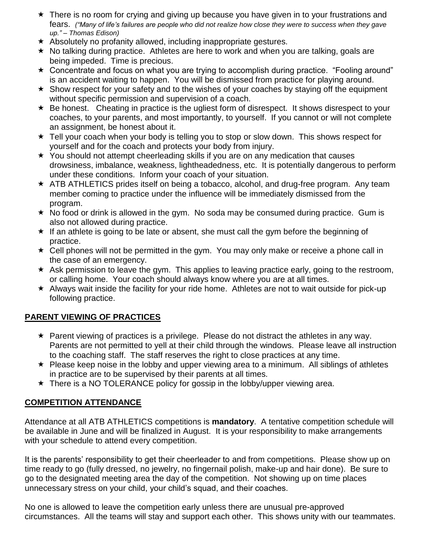- \* There is no room for crying and giving up because you have given in to your frustrations and fears. *("Many of life's failures are people who did not realize how close they were to success when they gave up." – Thomas Edison)*
- $\star$  Absolutely no profanity allowed, including inappropriate gestures.
- $\star$  No talking during practice. Athletes are here to work and when you are talking, goals are being impeded. Time is precious.
- \* Concentrate and focus on what you are trying to accomplish during practice. "Fooling around" is an accident waiting to happen. You will be dismissed from practice for playing around.
- $\star$  Show respect for your safety and to the wishes of your coaches by staying off the equipment without specific permission and supervision of a coach.
- $\star$  Be honest. Cheating in practice is the ugliest form of disrespect. It shows disrespect to your coaches, to your parents, and most importantly, to yourself. If you cannot or will not complete an assignment, be honest about it.
- ★ Tell your coach when your body is telling you to stop or slow down. This shows respect for yourself and for the coach and protects your body from injury.
- $\star$  You should not attempt cheerleading skills if you are on any medication that causes drowsiness, imbalance, weakness, lightheadedness, etc. It is potentially dangerous to perform under these conditions. Inform your coach of your situation.
- \* ATB ATHLETICS prides itself on being a tobacco, alcohol, and drug-free program. Any team member coming to practice under the influence will be immediately dismissed from the program.
- $\star$  No food or drink is allowed in the gym. No soda may be consumed during practice. Gum is also not allowed during practice.
- $\star$  If an athlete is going to be late or absent, she must call the gym before the beginning of practice.
- $\star$  Cell phones will not be permitted in the gym. You may only make or receive a phone call in the case of an emergency.
- $\star$  Ask permission to leave the gym. This applies to leaving practice early, going to the restroom, or calling home. Your coach should always know where you are at all times.
- $\star$  Always wait inside the facility for your ride home. Athletes are not to wait outside for pick-up following practice.

# **PARENT VIEWING OF PRACTICES**

- $\star$  Parent viewing of practices is a privilege. Please do not distract the athletes in any way. Parents are not permitted to yell at their child through the windows. Please leave all instruction to the coaching staff. The staff reserves the right to close practices at any time.
- $\star$  Please keep noise in the lobby and upper viewing area to a minimum. All siblings of athletes in practice are to be supervised by their parents at all times.
- $\star$  There is a NO TOLERANCE policy for gossip in the lobby/upper viewing area.

# **COMPETITION ATTENDANCE**

Attendance at all ATB ATHLETICS competitions is **mandatory**. A tentative competition schedule will be available in June and will be finalized in August. It is your responsibility to make arrangements with your schedule to attend every competition.

It is the parents' responsibility to get their cheerleader to and from competitions. Please show up on time ready to go (fully dressed, no jewelry, no fingernail polish, make-up and hair done). Be sure to go to the designated meeting area the day of the competition. Not showing up on time places unnecessary stress on your child, your child's squad, and their coaches.

No one is allowed to leave the competition early unless there are unusual pre-approved circumstances. All the teams will stay and support each other. This shows unity with our teammates.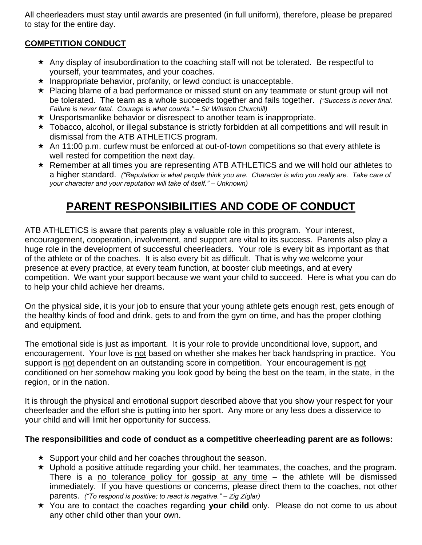All cheerleaders must stay until awards are presented (in full uniform), therefore, please be prepared to stay for the entire day.

# **COMPETITION CONDUCT**

- $\star$  Any display of insubordination to the coaching staff will not be tolerated. Be respectful to yourself, your teammates, and your coaches.
- $\star$  Inappropriate behavior, profanity, or lewd conduct is unacceptable.
- ★ Placing blame of a bad performance or missed stunt on any teammate or stunt group will not be tolerated. The team as a whole succeeds together and fails together. *("Success is never final. Failure is never fatal. Courage is what counts." – Sir Winston Churchill)*
- Unsportsmanlike behavior or disrespect to another team is inappropriate.
- $\star$  Tobacco, alcohol, or illegal substance is strictly forbidden at all competitions and will result in dismissal from the ATB ATHLETICS program.
- $\star$  An 11:00 p.m. curfew must be enforced at out-of-town competitions so that every athlete is well rested for competition the next day.
- Remember at all times you are representing ATB ATHLETICS and we will hold our athletes to a higher standard. *("Reputation is what people think you are. Character is who you really are. Take care of your character and your reputation will take of itself." – Unknown)*

# **PARENT RESPONSIBILITIES AND CODE OF CONDUCT**

ATB ATHLETICS is aware that parents play a valuable role in this program. Your interest, encouragement, cooperation, involvement, and support are vital to its success. Parents also play a huge role in the development of successful cheerleaders. Your role is every bit as important as that of the athlete or of the coaches. It is also every bit as difficult. That is why we welcome your presence at every practice, at every team function, at booster club meetings, and at every competition. We want your support because we want your child to succeed. Here is what you can do to help your child achieve her dreams.

On the physical side, it is your job to ensure that your young athlete gets enough rest, gets enough of the healthy kinds of food and drink, gets to and from the gym on time, and has the proper clothing and equipment.

The emotional side is just as important. It is your role to provide unconditional love, support, and encouragement. Your love is not based on whether she makes her back handspring in practice. You support is not dependent on an outstanding score in competition. Your encouragement is not conditioned on her somehow making you look good by being the best on the team, in the state, in the region, or in the nation.

It is through the physical and emotional support described above that you show your respect for your cheerleader and the effort she is putting into her sport. Any more or any less does a disservice to your child and will limit her opportunity for success.

# **The responsibilities and code of conduct as a competitive cheerleading parent are as follows:**

- $\star$  Support your child and her coaches throughout the season.
- $\star$  Uphold a positive attitude regarding your child, her teammates, the coaches, and the program. There is a no tolerance policy for gossip at any time – the athlete will be dismissed immediately. If you have questions or concerns, please direct them to the coaches, not other parents. *("To respond is positive; to react is negative." – Zig Ziglar)*
- You are to contact the coaches regarding **your child** only. Please do not come to us about any other child other than your own.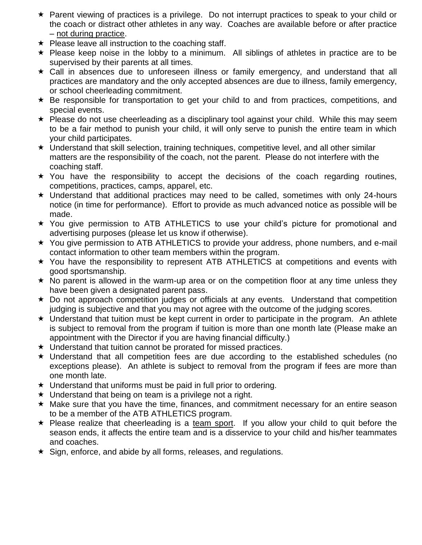- Parent viewing of practices is a privilege. Do not interrupt practices to speak to your child or the coach or distract other athletes in any way. Coaches are available before or after practice – not during practice.
- $\star$  Please leave all instruction to the coaching staff.
- $\star$  Please keep noise in the lobby to a minimum. All siblings of athletes in practice are to be supervised by their parents at all times.
- $\star$  Call in absences due to unforeseen illness or family emergency, and understand that all practices are mandatory and the only accepted absences are due to illness, family emergency, or school cheerleading commitment.
- $\star$  Be responsible for transportation to get your child to and from practices, competitions, and special events.
- $\star$  Please do not use cheerleading as a disciplinary tool against your child. While this may seem to be a fair method to punish your child, it will only serve to punish the entire team in which your child participates.
- $\star$  Understand that skill selection, training techniques, competitive level, and all other similar matters are the responsibility of the coach, not the parent. Please do not interfere with the coaching staff.
- $\star$  You have the responsibility to accept the decisions of the coach regarding routines, competitions, practices, camps, apparel, etc.
- $\star$  Understand that additional practices may need to be called, sometimes with only 24-hours notice (in time for performance). Effort to provide as much advanced notice as possible will be made.
- You give permission to ATB ATHLETICS to use your child's picture for promotional and advertising purposes (please let us know if otherwise).
- You give permission to ATB ATHLETICS to provide your address, phone numbers, and e-mail contact information to other team members within the program.
- You have the responsibility to represent ATB ATHLETICS at competitions and events with good sportsmanship.
- $\star$  No parent is allowed in the warm-up area or on the competition floor at any time unless they have been given a designated parent pass.
- \* Do not approach competition judges or officials at any events. Understand that competition judging is subjective and that you may not agree with the outcome of the judging scores.
- $\star$  Understand that tuition must be kept current in order to participate in the program. An athlete is subject to removal from the program if tuition is more than one month late (Please make an appointment with the Director if you are having financial difficulty.)
- $\star$  Understand that tuition cannot be prorated for missed practices.
- $\star$  Understand that all competition fees are due according to the established schedules (no exceptions please). An athlete is subject to removal from the program if fees are more than one month late.
- $\star$  Understand that uniforms must be paid in full prior to ordering.
- $\star$  Understand that being on team is a privilege not a right.
- Make sure that you have the time, finances, and commitment necessary for an entire season to be a member of the ATB ATHLETICS program.
- $\star$  Please realize that cheerleading is a team sport. If you allow your child to quit before the season ends, it affects the entire team and is a disservice to your child and his/her teammates and coaches.
- $\star$  Sign, enforce, and abide by all forms, releases, and regulations.